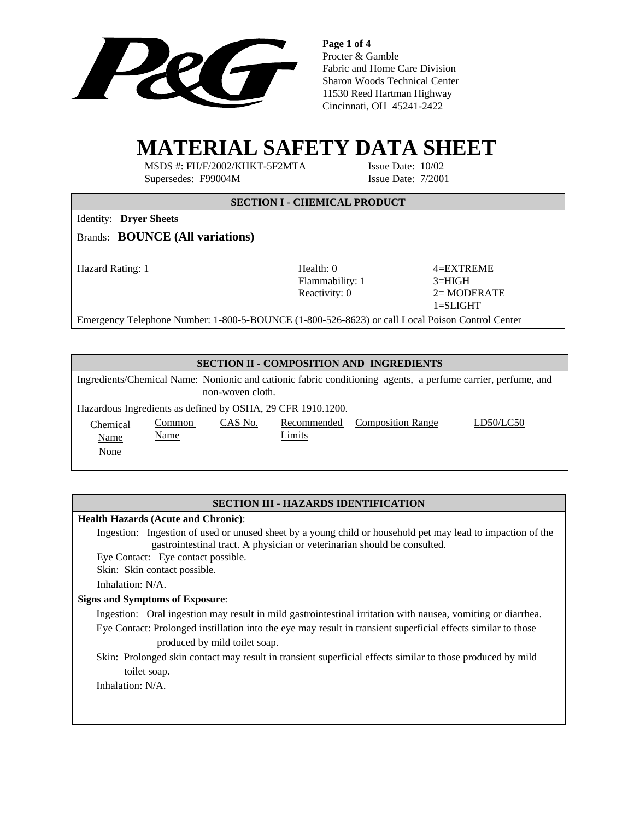

**Page 1 of 4** Procter & Gamble Fabric and Home Care Division Sharon Woods Technical Center 11530 Reed Hartman Highway Cincinnati, OH 45241-2422

# **MATERIAL SAFETY DATA SHEET**

MSDS #: FH/F/2002/KHKT-5F2MTA Issue Date: 10/02 Supersedes: F99004M Issue Date: 7/2001

# **SECTION I - CHEMICAL PRODUCT**

Identity: **Dryer Sheets**

Brands: **BOUNCE (All variations)**

Hazard Rating: 1 **Health: 0** 4=EXTREME Flammability: 1 3=HIGH

Reactivity:  $0 \t 2 = \text{MODERATE}$ 1=SLIGHT

Emergency Telephone Number: 1-800-5-BOUNCE (1-800-526-8623) or call Local Poison Control Center

## **SECTION II - COMPOSITION AND INGREDIENTS**

Ingredients/Chemical Name: Nonionic and cationic fabric conditioning agents, a perfume carrier, perfume, and non-woven cloth.

Hazardous Ingredients as defined by OSHA, 29 CFR 1910.1200.

Chemical Name

None

Limits

CAS No. Recommended Composition Range LD50/LC50

# **SECTION III - HAZARDS IDENTIFICATION**

## **Health Hazards (Acute and Chronic)**:

Common Name

 Ingestion: Ingestion of used or unused sheet by a young child or household pet may lead to impaction of the gastrointestinal tract. A physician or veterinarian should be consulted.

Eye Contact: Eye contact possible.

Skin: Skin contact possible.

Inhalation: N/A.

## **Signs and Symptoms of Exposure**:

Ingestion: Oral ingestion may result in mild gastrointestinal irritation with nausea, vomiting or diarrhea. Eye Contact: Prolonged instillation into the eye may result in transient superficial effects similar to those

produced by mild toilet soap.

Skin: Prolonged skin contact may result in transient superficial effects similar to those produced by mild toilet soap.

Inhalation: N/A.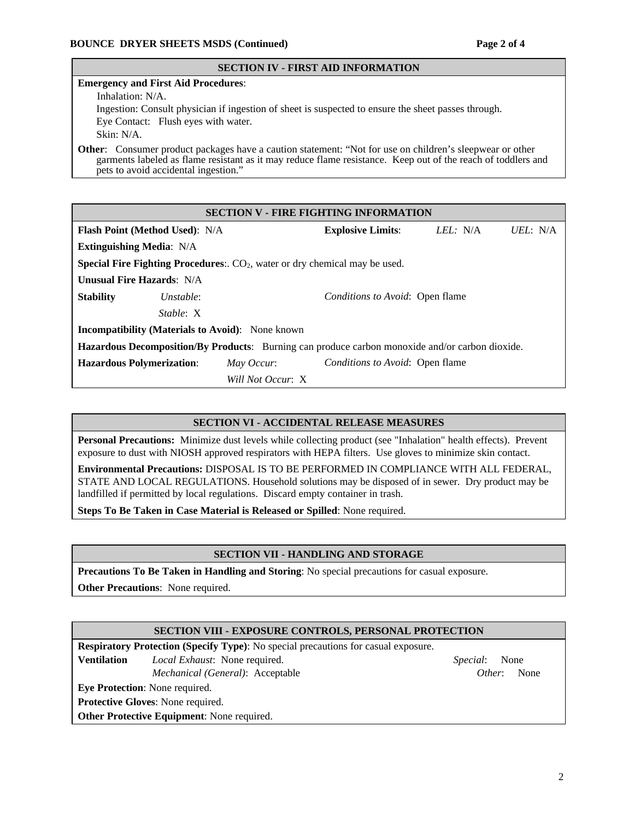#### **SECTION IV - FIRST AID INFORMATION**

#### **Emergency and First Aid Procedures**:

Inhalation: N/A.

Ingestion: Consult physician if ingestion of sheet is suspected to ensure the sheet passes through. Eye Contact: Flush eyes with water.

Skin: N/A.

**Other**: Consumer product packages have a caution statement: "Not for use on children's sleepwear or other garments labeled as flame resistant as it may reduce flame resistance. Keep out of the reach of toddlers and pets to avoid accidental ingestion."

| <b>SECTION V - FIRE FIGHTING INFORMATION</b>                                                    |           |                   |                                        |          |          |  |
|-------------------------------------------------------------------------------------------------|-----------|-------------------|----------------------------------------|----------|----------|--|
| <b>Flash Point (Method Used): N/A</b>                                                           |           |                   | <b>Explosive Limits:</b>               | LEL: N/A | UEL: N/A |  |
| <b>Extinguishing Media: N/A</b>                                                                 |           |                   |                                        |          |          |  |
| <b>Special Fire Fighting Procedures:.</b> $CO2$ , water or dry chemical may be used.            |           |                   |                                        |          |          |  |
| <b>Unusual Fire Hazards: N/A</b>                                                                |           |                   |                                        |          |          |  |
| <b>Stability</b>                                                                                | Unstable: |                   | <i>Conditions to Avoid:</i> Open flame |          |          |  |
|                                                                                                 | Stable: X |                   |                                        |          |          |  |
| <b>Incompatibility (Materials to Avoid):</b> None known                                         |           |                   |                                        |          |          |  |
| Hazardous Decomposition/By Products: Burning can produce carbon monoxide and/or carbon dioxide. |           |                   |                                        |          |          |  |
| <b>Hazardous Polymerization:</b>                                                                |           | May Occur:        | <i>Conditions to Avoid:</i> Open flame |          |          |  |
|                                                                                                 |           | Will Not Occur: X |                                        |          |          |  |

## **SECTION VI - ACCIDENTAL RELEASE MEASURES**

**Personal Precautions:** Minimize dust levels while collecting product (see "Inhalation" health effects). Prevent exposure to dust with NIOSH approved respirators with HEPA filters. Use gloves to minimize skin contact.

**Environmental Precautions:** DISPOSAL IS TO BE PERFORMED IN COMPLIANCE WITH ALL FEDERAL, STATE AND LOCAL REGULATIONS. Household solutions may be disposed of in sewer. Dry product may be landfilled if permitted by local regulations. Discard empty container in trash.

**Steps To Be Taken in Case Material is Released or Spilled**: None required.

## **SECTION VII - HANDLING AND STORAGE**

**Precautions To Be Taken in Handling and Storing**: No special precautions for casual exposure.

**Other Precautions**: None required.

## **SECTION VIII - EXPOSURE CONTROLS, PERSONAL PROTECTION**

**Respiratory Protection (Specify Type)**: No special precautions for casual exposure. **Ventilation** *Local Exhaust*: None required. *Special*: None *Mechanical (General)*: Acceptable *Other*: None **Eye Protection**: None required. **Protective Gloves**: None required.

**Other Protective Equipment**: None required.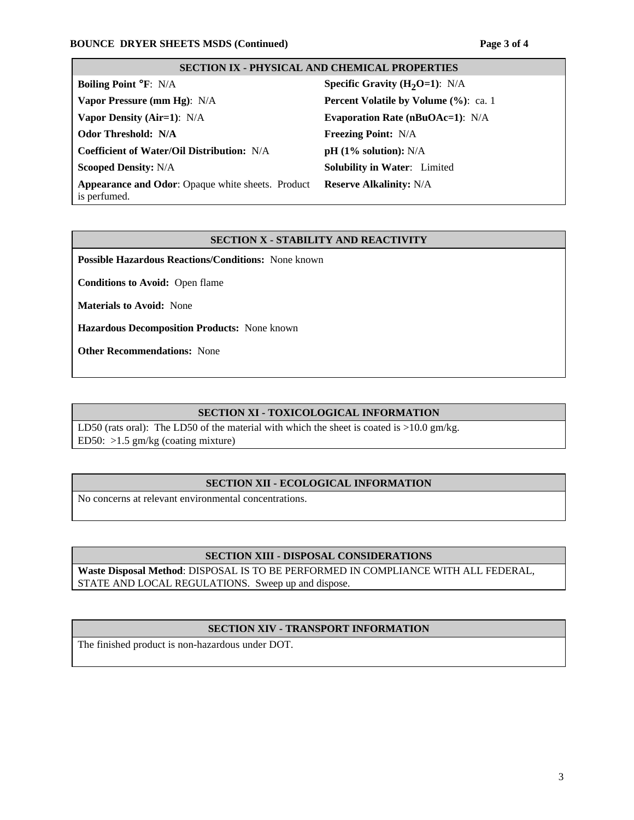# **SECTION IX - PHYSICAL AND CHEMICAL PROPERTIES**

| <b>Boiling Point °F: N/A</b>                                      | <b>Specific Gravity (H<sub>2</sub>O=1):</b> N/A |
|-------------------------------------------------------------------|-------------------------------------------------|
| Vapor Pressure (mm Hg): N/A                                       | <b>Percent Volatile by Volume (%): ca. 1</b>    |
| Vapor Density (Air=1): N/A                                        | <b>Evaporation Rate (nBuOAc=1):</b> N/A         |
| <b>Odor Threshold: N/A</b>                                        | <b>Freezing Point: N/A</b>                      |
| Coefficient of Water/Oil Distribution: N/A                        | $pH (1\%$ solution): N/A                        |
| <b>Scooped Density: N/A</b>                                       | <b>Solubility in Water:</b> Limited             |
| Appearance and Odor: Opaque white sheets. Product<br>is perfumed. | <b>Reserve Alkalinity: N/A</b>                  |

#### **SECTION X - STABILITY AND REACTIVITY**

**Possible Hazardous Reactions/Conditions:** None known

**Conditions to Avoid:** Open flame

**Materials to Avoid:** None

**Hazardous Decomposition Products:** None known

**Other Recommendations:** None

#### **SECTION XI - TOXICOLOGICAL INFORMATION**

LD50 (rats oral): The LD50 of the material with which the sheet is coated is >10.0 gm/kg. ED50: >1.5 gm/kg (coating mixture)

# **SECTION XII - ECOLOGICAL INFORMATION**

No concerns at relevant environmental concentrations.

#### **SECTION XIII - DISPOSAL CONSIDERATIONS**

**Waste Disposal Method**: DISPOSAL IS TO BE PERFORMED IN COMPLIANCE WITH ALL FEDERAL, STATE AND LOCAL REGULATIONS. Sweep up and dispose.

#### **SECTION XIV - TRANSPORT INFORMATION**

The finished product is non-hazardous under DOT.